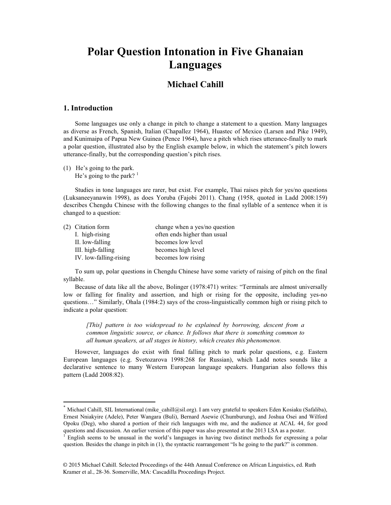## **Polar Question Intonation in Five Ghanaian Languages**

## **Michael Cahill**

#### 1. Introduction

Some languages use only a change in pitch to change a statement to a question. Many languages as diverse as French, Spanish, Italian (Chapallez 1964), Huastec of Mexico (Larsen and Pike 1949), and Kunimaipa of Papua New Guinea (Pence 1964), have a pitch which rises utterance-finally to mark a polar question, illustrated also by the English example below, in which the statement's pitch lowers utterance-finally, but the corresponding question's pitch rises.

(1) He's going to the park. He's going to the park?  $1$ 

Studies in tone languages are rarer, but exist. For example, Thai raises pitch for yes/no questions (Luksaneeyanawin 1998), as does Yoruba (Fajobi 2011). Chang (1958, quoted in Ladd 2008:159) describes Chengdu Chinese with the following changes to the final syllable of a sentence when it is changed to a question:

| (2) Citation form      | change when a yes/no question |
|------------------------|-------------------------------|
| I. high-rising         | often ends higher than usual  |
| II. low-falling        | becomes low level             |
| III. high-falling      | becomes high level            |
| IV. low-falling-rising | becomes low rising            |

To sum up, polar questions in Chengdu Chinese have some variety of raising of pitch on the final syllable.

Because of data like all the above, Bolinger (1978:471) writes: "Terminals are almost universally low or falling for finality and assertion, and high or rising for the opposite, including yes-no questions…" Similarly, Ohala (1984:2) says of the cross-linguistically common high or rising pitch to indicate a polar question:

*[This] pattern is too widespread to be explained by borrowing, descent from a common linguistic source, or chance. It follows that there is something common to all human speakers, at all stages in history, which creates this phenomenon.* 

However, languages do exist with final falling pitch to mark polar questions, e.g. Eastern European languages (e.g. Svetozarova 1998:268 for Russian), which Ladd notes sounds like a declarative sentence to many Western European language speakers. Hungarian also follows this pattern (Ladd 2008:82).

Michael Cahill, SIL International (mike cahill@sil.org). I am very grateful to speakers Eden Kosiaku (Safaliba), Ernest Nniakyire (Adele), Peter Wangara (Buli), Bernard Asewie (Chumburung), and Joshua Osei and Wilford Opoku (Deg), who shared a portion of their rich languages with me, and the audience at ACAL 44, for good questions and discussion. An earlier version of this paper was also presented at the 2013 LSA as a poster.

<sup>&</sup>lt;sup>1</sup> English seems to be unusual in the world's languages in having two distinct methods for expressing a polar question. Besides the change in pitch in (1), the syntactic rearrangement "Is he going to the park?" is common.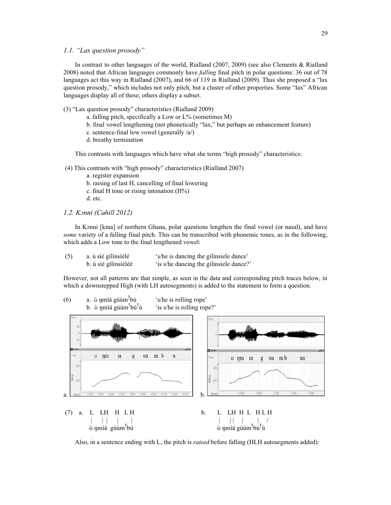#### *1.1. "Lax question prosody"*

In contrast to other languages of the world, Rialland (2007, 2009) (see also Clements & Rialland 2008) noted that African languages commonly have *falling* final pitch in polar questions: 36 out of 78 languages act this way in Rialland (2007), and 66 of 119 in Rialland (2009). Thus she proposed a "lax question prosody," which includes not only pitch, but a cluster of other properties. Some "lax" African languages display all of these; others display a subset.

- (3) "Lax question prosody" characteristics (Rialland 2009)
	- a. falling pitch, specifically a Low or  $L\%$  (sometimes M)
	- b. final vowel lengthening (not phonetically "lax," but perhaps an enhancement feature)
	- c. sentence-final low vowel (generally /a/)
	- d. breathy termination

This contrasts with languages which have what she terms "high prosody" characteristics:

- (4) This contrasts with "high prosody" characteristics (Rialland 2007)
	- a. register expansion
	- b. raising of last H, cancelling of final lowering
	- c. final H tone or rising intonation  $(H%)$
	- d. etc.
- *1.2. Kɔnni (Cahill 2012)*

In Kɔnni [kma] of northern Ghana, polar questions lengthen the final vowel (or nasal), and have *some* variety of a falling final pitch. This can be transcribed with phonemic tones, as in the following, which adds a Low tone to the final lengthened vowel:

| (5) | a. ù sié gilinsièlé  | 's/he is dancing the gilinsiele dance'  |
|-----|----------------------|-----------------------------------------|
|     | b. ù sié gilinsièlée | 'is s/he dancing the gilinsiele dance?' |

However, not all patterns are that simple, as seen in the data and corresponding pitch traces below, in which a downstepped High (with LH autosegments) is added to the statement to form a question.

(6) a.  $\dot{\text{o}}$  ymiá gúúm<sup>!</sup>bú 's/he is rolling rope' b.  $\dot{\sigma}$  nmia gúúm<sup>!</sup>bú<sup>!</sup>ú 'is s/he is rolling rope?'



Also, in a sentence ending with L, the pitch is *raised* before falling (HLH autosegments added):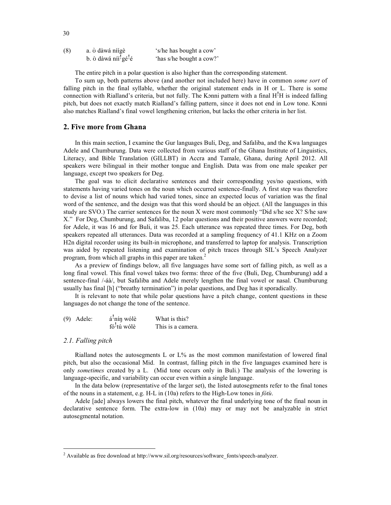| (8) | a. ò dàwá níígè                              | 's/he has bought a cow'  |  |
|-----|----------------------------------------------|--------------------------|--|
|     | b. ò dàwá níi <sup>!</sup> gé <sup>!</sup> é | 'has s/he bought a cow?' |  |

The entire pitch in a polar question is also higher than the corresponding statement.

To sum up, both patterns above (and another not included here) have in common *some sort* of falling pitch in the final syllable, whether the original statement ends in H or L. There is some connection with Rialland's criteria, but not fully. The Konni pattern with a final  $H<sup>1</sup>H$  is indeed falling pitch, but does not exactly match Rialland's falling pattern, since it does not end in Low tone. Kɔnni also matches Rialland's final vowel lengthening criterion, but lacks the other criteria in her list.

#### **2. Five more from Ghana**

In this main section, I examine the Gur languages Buli, Deg, and Safaliba, and the Kwa languages Adele and Chumburung. Data were collected from various staff of the Ghana Institute of Linguistics, Literacy, and Bible Translation (GILLBT) in Accra and Tamale, Ghana, during April 2012. All speakers were bilingual in their mother tongue and English. Data was from one male speaker per language, except two speakers for Deg.

The goal was to elicit declarative sentences and their corresponding yes/no questions, with statements having varied tones on the noun which occurred sentence-finally. A first step was therefore to devise a list of nouns which had varied tones, since an expected locus of variation was the final word of the sentence, and the design was that this word should be an object. (All the languages in this study are SVO.) The carrier sentences for the noun X were most commonly "Did s/he see X? S/he saw X." For Deg, Chumburung, and Safaliba, 12 polar questions and their positive answers were recorded; for Adele, it was 16 and for Buli, it was 25. Each utterance was repeated three times. For Deg, both speakers repeated all utterances. Data was recorded at a sampling frequency of 41.1 KHz on a Zoom H2n digital recorder using its built-in microphone, and transferred to laptop for analysis. Transcription was aided by repeated listening and examination of pitch traces through SIL's Speech Analyzer program, from which all graphs in this paper are taken.<sup>2</sup>

As a preview of findings below, all five languages have some sort of falling pitch, as well as a long final vowel. This final vowel takes two forms: three of the five (Buli, Deg, Chumburung) add a sentence-final /-áà/, but Safaliba and Adele merely lengthen the final vowel or nasal. Chumburung usually has final [h] ("breathy termination") in polar questions, and Deg has it sporadically.

It is relevant to note that while polar questions have a pitch change, content questions in these languages do not change the tone of the sentence.

| $(9)$ Adele: | á <sup>!</sup> nín wólè | What is this?     |
|--------------|-------------------------|-------------------|
|              | fó <sup>!</sup> tú wólè | This is a camera. |

#### *2.1. Falling pitch*

Rialland notes the autosegments L or L% as the most common manifestation of lowered final pitch, but also the occasional Mid. In contrast, falling pitch in the five languages examined here is only *sometimes* created by a L. (Mid tone occurs only in Buli.) The analysis of the lowering is language-specific, and variability can occur even within a single language.

In the data below (representative of the larger set), the listed autosegments refer to the final tones of the nouns in a statement, e.g. H-L in (10a) refers to the High-Low tones in *fótù*.

Adele [ade] always lowers the final pitch, whatever the final underlying tone of the final noun in declarative sentence form. The extra-low in (10a) may or may not be analyzable in strict autosegmental notation.

 <sup>2</sup> Available as free download at http://www.sil.org/resources/software\_fonts/speech-analyzer.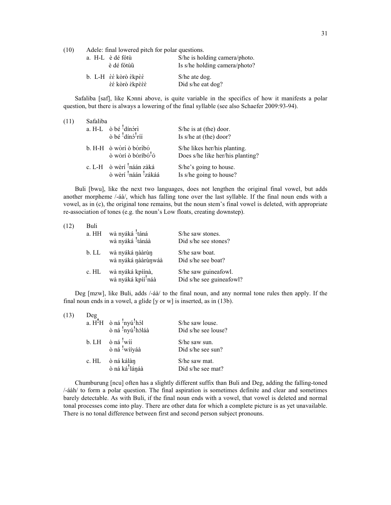(10) Adele: final lowered pitch for polar questions.

| a. H-L è dé fótù                                                         | è dé fótùù     | S/he is holding camera/photo.<br>Is s/he holding camera/photo? |
|--------------------------------------------------------------------------|----------------|----------------------------------------------------------------|
| b. L-H $\grave{\epsilon}$ kòrò $\grave{\epsilon}$ kpè $\acute{\epsilon}$ | εέ kòrò εκρεεε | S/he ate dog.<br>Did s/he eat dog?                             |

Safaliba [saf], like Kɔnni above, is quite variable in the specifics of how it manifests a polar question, but there is always a lowering of the final syllable (see also Schaefer 2009:93-94).

| (11) | Safaliba |                                                                                     |                                                                  |  |  |  |
|------|----------|-------------------------------------------------------------------------------------|------------------------------------------------------------------|--|--|--|
|      |          | a. H-L $\phi$ bé $\frac{!}{!}$ dínóri                                               | S/he is at (the) door.                                           |  |  |  |
|      |          | ò bé 'dínó'ríí                                                                      | Is s/he at (the) door?                                           |  |  |  |
|      |          | b. H-H ò wòrí ò bóríbó<br>ò wòrí ò bóríbó <sup>!</sup> ó                            | S/he likes her/his planting.<br>Does s/he like her/his planting? |  |  |  |
|      |          | c. L-H ò wèrí <sup>1</sup> náán zàká<br>ò wèrí <sup>!</sup> náán <sup>!</sup> zákáá | S/he's going to house.<br>Is s/he going to house?                |  |  |  |

Buli [bwu], like the next two languages, does not lengthen the original final vowel, but adds another morpheme /-áà/, which has falling tone over the last syllable. If the final noun ends with a vowel, as in (c), the original tone remains, but the noun stem's final vowel is deleted, with appropriate re-association of tones (e.g. the noun's Low floats, creating downstep).

| (12) | Buli<br>a. HH | wà nyáká <sup>!</sup> táná<br>wà nyáká <sup>!</sup> tánáà | S/he saw stones.<br>Did s/he see stones?         |
|------|---------------|-----------------------------------------------------------|--------------------------------------------------|
|      | b. LL         | wà nyáká nààrùn<br>wà nyáká nààrùnwáà                     | S/he saw boat.<br>Did s/he see boat?             |
|      | c. HL         | wà nyáká kpíínà,<br>wà nyáká kpíí <sup>!</sup> náà        | S/he saw guineafowl.<br>Did s/he see guineafowl? |

Deg [mzw], like Buli, adds /-áà/ to the final noun, and any normal tone rules then apply. If the final noun ends in a vowel, a glide [y or w] is inserted, as in (13b).

| (13) | Deg | a. $\overline{H}^1H$ ò ná <sup>1</sup> nyú <sup>1</sup> hól<br>ò ná <sup>1</sup> nyú <sup>1</sup> hóláà | S/he saw louse.<br>Did s/he see louse? |
|------|-----|---------------------------------------------------------------------------------------------------------|----------------------------------------|
|      |     | b. LH $\dot{o}$ ná 'wíí<br>ò ná <sup>!</sup> wííyáà                                                     | $S$ /he saw sun.<br>Did s/he see sun?  |
|      |     | c. HL ò ná kálàn<br>ò ná ká <sup>!</sup> lánáà                                                          | S/he saw mat.<br>Did s/he see mat?     |

Chumburung [ncu] often has a slightly different suffix than Buli and Deg, adding the falling-toned /-áàh/ to form a polar question. The final aspiration is sometimes definite and clear and sometimes barely detectable. As with Buli, if the final noun ends with a vowel, that vowel is deleted and normal tonal processes come into play. There are other data for which a complete picture is as yet unavailable. There is no tonal difference between first and second person subject pronouns.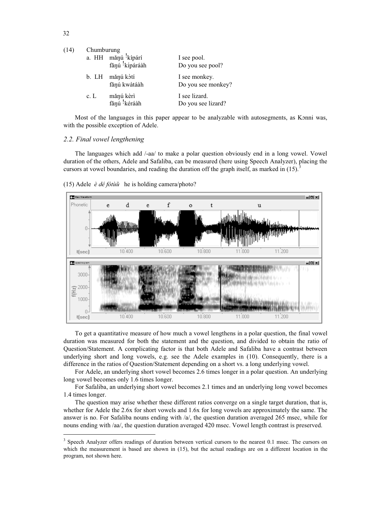| (14) | Chumburung |                            |                    |  |  |
|------|------------|----------------------------|--------------------|--|--|
|      |            | a. HH mǎnú kípárí          | I see pool.        |  |  |
|      |            | fănú <sup>!</sup> kípáráàh | Do you see pool?   |  |  |
|      | b. LH      | mănú kòtí                  | I see monkey.      |  |  |
|      |            | fănú kwàtáàh               | Do you see monkey? |  |  |
|      | c. L       | mănú kèrì                  | I see lizard.      |  |  |
|      |            | fănú kéráàh                | Do you see lizard? |  |  |

Most of the languages in this paper appear to be analyzable with autosegments, as Kɔnni was, with the possible exception of Adele.

#### *2.2. Final vowel lengthening*

The languages which add /-aa/ to make a polar question obviously end in a long vowel. Vowel duration of the others, Adele and Safaliba, can be measured (here using Speech Analyzer), placing the cursors at vowel boundaries, and reading the duration off the graph itself, as marked in  $(15)$ .





To get a quantitative measure of how much a vowel lengthens in a polar question, the final vowel duration was measured for both the statement and the question, and divided to obtain the ratio of Question/Statement. A complicating factor is that both Adele and Safaliba have a contrast between underlying short and long vowels, e.g. see the Adele examples in (10). Consequently, there is a difference in the ratios of Question/Statement depending on a short vs. a long underlying vowel.

For Adele, an underlying short vowel becomes 2.6 times longer in a polar question. An underlying long vowel becomes only 1.6 times longer.

For Safaliba, an underlying short vowel becomes 2.1 times and an underlying long vowel becomes 1.4 times longer.

The question may arise whether these different ratios converge on a single target duration, that is, whether for Adele the 2.6x for short vowels and 1.6x for long vowels are approximately the same. The answer is no. For Safaliba nouns ending with /a/, the question duration averaged 265 msec, while for nouns ending with /aa/, the question duration averaged 420 msec. Vowel length contrast is preserved.

 $(14)$ 

<sup>&</sup>lt;sup>3</sup> Speech Analyzer offers readings of duration between vertical cursors to the nearest 0.1 msec. The cursors on which the measurement is based are shown in (15), but the actual readings are on a different location in the program, not shown here.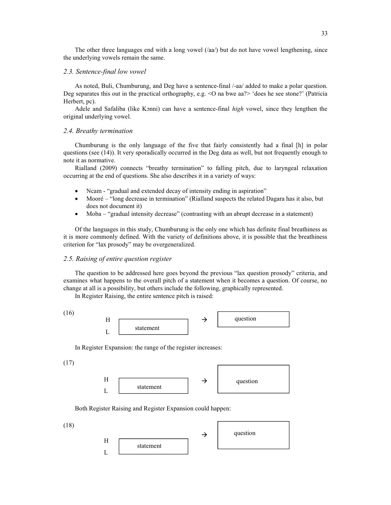The other three languages end with a long vowel (/aa/) but do not have vowel lengthening, since the underlying vowels remain the same.

#### *2.3. Sentence-final low vowel*

As noted, Buli, Chumburung, and Deg have a sentence-final /-aa/ added to make a polar question. Deg separates this out in the practical orthography, e.g. <O na bwe aa?> 'does he see stone?' (Patricia Herbert, pc).

Adele and Safaliba (like Kɔnni) can have a sentence-final *high* vowel, since they lengthen the original underlying vowel.

#### *2.4. Breathy termination*

Chumburung is the only language of the five that fairly consistently had a final [h] in polar questions (see (14)). It very sporadically occurred in the Deg data as well, but not frequently enough to note it as normative.

Rialland (2009) connects "breathy termination" to falling pitch, due to laryngeal relaxation occurring at the end of questions. She also describes it in a variety of ways:

- Ncam "gradual and extended decay of intensity ending in aspiration"
- Mooré "long decrease in termination" (Rialland suspects the related Dagara has it also, but does not document it)
- Moba "gradual intensity decrease" (contrasting with an abrupt decrease in a statement)

Of the languages in this study, Chumburung is the only one which has definite final breathiness as it is more commonly defined. With the variety of definitions above, it is possible that the breathiness criterion for "lax prosody" may be overgeneralized.

#### *2.5. Raising of entire question register*

The question to be addressed here goes beyond the previous "lax question prosody" criteria, and examines what happens to the overall pitch of a statement when it becomes a question. Of course, no change at all is a possibility, but others include the following, graphically represented.

In Register Raising, the entire sentence pitch is raised:

(16)



In Register Expansion: the range of the register increases:

(17)



Both Register Raising and Register Expansion could happen:

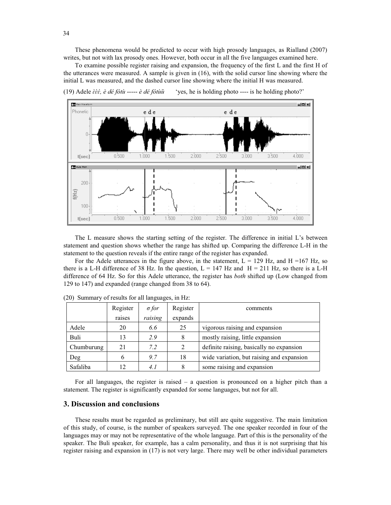These phenomena would be predicted to occur with high prosody languages, as Rialland (2007) writes, but not with lax prosody ones. However, both occur in all the five languages examined here.

To examine possible register raising and expansion, the frequency of the first L and the first H of the utterances were measured. A sample is given in (16), with the solid cursor line showing where the initial L was measured, and the dashed cursor line showing where the initial H was measured.

(19) Adele *ɛ̀ ɛ̀ ɛ́* 'yes, he is holding photo ---- is he holding photo?'



The L measure shows the starting setting of the register. The difference in initial L's between statement and question shows whether the range has shifted up. Comparing the difference L-H in the statement to the question reveals if the entire range of the register has expanded.

For the Adele utterances in the figure above, in the statement,  $L = 129$  Hz, and H =167 Hz, so there is a L-H difference of 38 Hz. In the question,  $L = 147$  Hz and  $H = 211$  Hz, so there is a L-H difference of 64 Hz. So for this Adele utterance, the register has *both* shifted up (Low changed from 129 to 147) and expanded (range changed from 38 to 64).

|            | Register | $\sigma$ for | Register | comments                                  |
|------------|----------|--------------|----------|-------------------------------------------|
|            | raises   | raising      | expands  |                                           |
| Adele      | 20       | 6.6          | 25       | vigorous raising and expansion            |
| Buli       | 13       | 2.9          | 8        | mostly raising, little expansion          |
| Chumburung | 21       | 7.2          | 2        | definite raising, basically no expansion  |
| Deg        | O        | 9.7          | 18       | wide variation, but raising and expansion |
| Safaliba   | 12       | 4.1          | 8        | some raising and expansion                |

(20) Summary of results for all languages, in Hz:

For all languages, the register is raised – a question is pronounced on a higher pitch than a statement. The register is significantly expanded for some languages, but not for all.

#### **3. Discussion and conclusions**

These results must be regarded as preliminary, but still are quite suggestive. The main limitation of this study, of course, is the number of speakers surveyed. The one speaker recorded in four of the languages may or may not be representative of the whole language. Part of this is the personality of the speaker. The Buli speaker, for example, has a calm personality, and thus it is not surprising that his register raising and expansion in (17) is not very large. There may well be other individual parameters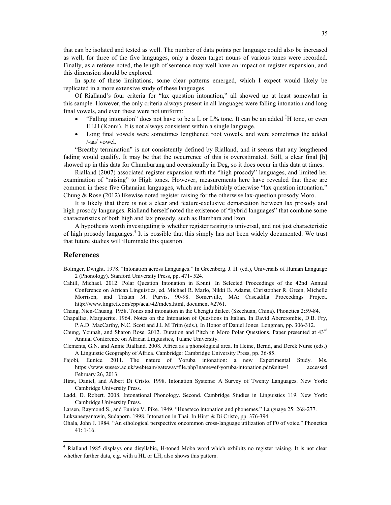that can be isolated and tested as well. The number of data points per language could also be increased as well; for three of the five languages, only a dozen target nouns of various tones were recorded. Finally, as a referee noted, the length of sentence may well have an impact on register expansion, and this dimension should be explored.

In spite of these limitations, some clear patterns emerged, which I expect would likely be replicated in a more extensive study of these languages.

Of Rialland's four criteria for "lax question intonation," all showed up at least somewhat in this sample. However, the only criteria always present in all languages were falling intonation and long final vowels, and even these were not uniform:

- "Falling intonation" does not have to be a L or L% tone. It can be an added !H tone, or even HLH (Kɔnni). It is not always consistent within a single language.
- Long final vowels were sometimes lengthened root vowels, and were sometimes the added /-aa/ vowel.

"Breathy termination" is not consistently defined by Rialland, and it seems that any lengthened fading would qualify. It may be that the occurrence of this is overestimated. Still, a clear final [h] showed up in this data for Chumburung and occasionally in Deg, so it does occur in this data at times.

Rialland (2007) associated register expansion with the "high prosody" languages, and limited her examination of "raising" to High tones. However, measurements here have revealed that these are common in these five Ghanaian languages, which are indubitably otherwise "lax question intonation." Chung & Rose (2012) likewise noted register raising for the otherwise lax-question prosody Moro.

It is likely that there is not a clear and feature-exclusive demarcation between lax prosody and high prosody languages. Rialland herself noted the existence of "hybrid languages" that combine some characteristics of both high and lax prosody, such as Bambara and Izon.

A hypothesis worth investigating is whether register raising is universal, and not just characteristic of high prosody languages.<sup>4</sup> It is possible that this simply has not been widely documented. We trust that future studies will illuminate this question.

#### **References**

- Bolinger, Dwight. 1978. "Intonation across Languages." In Greenberg. J. H. (ed.), Universals of Human Language 2 (Phonology). Stanford University Press, pp. 471- 524.
- Cahill, Michael. 2012. Polar Question Intonation in Kɔnni. In Selected Proceedings of the 42nd Annual Conference on African Linguistics, ed. Michael R. Marlo, Nikki B. Adams, Christopher R. Green, Michelle Morrison, and Tristan M. Purvis, 90-98. Somerville, MA: Cascadilla Proceedings Project. http://www.lingref.com/cpp/acal/42/index.html, document #2761.
- Chang, Nien-Chuang. 1958. Tones and intonation in the Chengtu dialect (Szechuan, China). Phonetica 2:59-84.
- Chapallaz, Marguerite. 1964. Notes on the Intonation of Questions in Italian. In David Abercrombie, D.B. Fry, P.A.D. MacCarthy, N.C. Scott and J.L.M Trim (eds.), In Honor of Daniel Jones. Longman, pp. 306-312.
- Chung, Younah, and Sharon Rose. 2012. Duration and Pitch in Moro Polar Questions. Paper presented at 43rd Annual Conference on African Linguistics, Tulane University.
- Clements, G.N. and Annie Rialland. 2008. Africa as a phonological area. In Heine, Bernd, and Derek Nurse (eds.) A Linguistic Geography of Africa. Cambridge: Cambridge University Press, pp. 36-85.
- Fajobi, Eunice. 2011. The nature of Yoruba intonation: a new Experimental Study. Ms. https://www.sussex.ac.uk/webteam/gateway/file.php?name=ef-yoruba-intonation.pdf&site=1 accessed February 26, 2013.
- Hirst, Daniel, and Albert Di Cristo. 1998. Intonation Systems: A Survey of Twenty Languages. New York: Cambridge University Press.
- Ladd, D. Robert. 2008. Intonational Phonology. Second. Cambridge Studies in Linguistics 119. New York: Cambridge University Press.
- Larsen, Raymond S., and Eunice V. Pike. 1949. "Huasteco intonation and phonemes." Language 25: 268-277. Luksaneeyanawin, Sudaporn. 1998. Intonation in Thai. In Hirst & Di Cristo, pp. 376-394.
- Ohala, John J. 1984. "An ethological perspective oncommon cross-language utilization of F0 of voice." Phonetica 41: 1-16.

 <sup>4</sup> Rialland 1985 displays one disyllabic, H-toned Moba word which exhibits no register raising. It is not clear whether further data, e.g. with a HL or LH, also shows this pattern.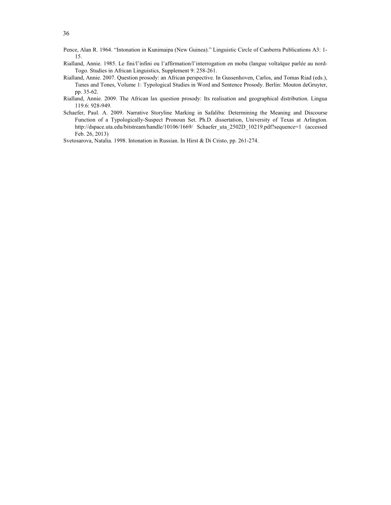- Pence, Alan R. 1964. "Intonation in Kunimaipa (New Guinea)." Linguistic Circle of Canberra Publications A3: 1- 15.
- Rialland, Annie. 1985. Le fini/l'infini ou l'affirmation/l'interrogation en moba (langue voltaïque parlée au nord-Togo. Studies in African Linguistics, Supplement 9: 258-261.
- Rialland, Annie. 2007. Question prosody: an African perspective. In Gussenhoven, Carlos, and Tomas Riad (eds.), Tunes and Tones, Volume 1: Typological Studies in Word and Sentence Prosody. Berlin: Mouton deGruyter, pp. 35-62.
- Rialland, Annie. 2009. The African lax question prosody: Its realisation and geographical distribution. Lingua 119.6: 928-949.
- Schaefer, Paul. A. 2009. Narrative Storyline Marking in Safaliba: Determining the Meaning and Discourse Function of a Typologically-Suspect Pronoun Set. Ph.D. dissertation, University of Texas at Arlington. http://dspace.uta.edu/bitstream/handle/10106/1669/ Schaefer uta 2502D 10219.pdf?sequence=1 (accessed Feb. 26, 2013)

Svetosarova, Natalia. 1998. Intonation in Russian. In Hirst & Di Cristo, pp. 261-274.